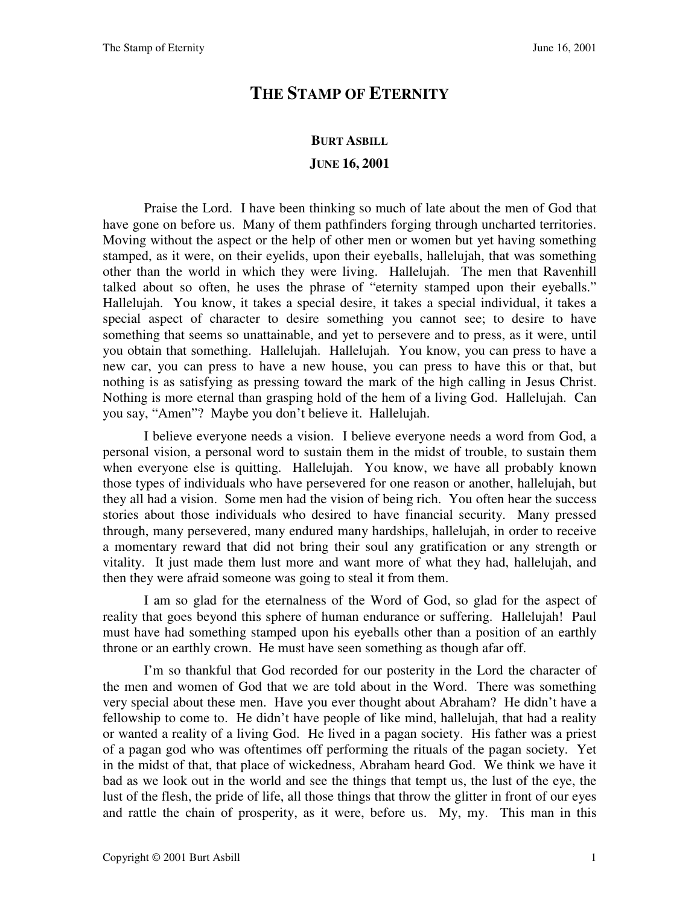## **THE STAMP OF ETERNITY**

### **BURT ASBILL**

### **JUNE 16, 2001**

Praise the Lord. I have been thinking so much of late about the men of God that have gone on before us. Many of them pathfinders forging through uncharted territories. Moving without the aspect or the help of other men or women but yet having something stamped, as it were, on their eyelids, upon their eyeballs, hallelujah, that was something other than the world in which they were living. Hallelujah. The men that Ravenhill talked about so often, he uses the phrase of "eternity stamped upon their eyeballs." Hallelujah. You know, it takes a special desire, it takes a special individual, it takes a special aspect of character to desire something you cannot see; to desire to have something that seems so unattainable, and yet to persevere and to press, as it were, until you obtain that something. Hallelujah. Hallelujah. You know, you can press to have a new car, you can press to have a new house, you can press to have this or that, but nothing is as satisfying as pressing toward the mark of the high calling in Jesus Christ. Nothing is more eternal than grasping hold of the hem of a living God. Hallelujah. Can you say, "Amen"? Maybe you don't believe it. Hallelujah.

I believe everyone needs a vision. I believe everyone needs a word from God, a personal vision, a personal word to sustain them in the midst of trouble, to sustain them when everyone else is quitting. Hallelujah. You know, we have all probably known those types of individuals who have persevered for one reason or another, hallelujah, but they all had a vision. Some men had the vision of being rich. You often hear the success stories about those individuals who desired to have financial security. Many pressed through, many persevered, many endured many hardships, hallelujah, in order to receive a momentary reward that did not bring their soul any gratification or any strength or vitality. It just made them lust more and want more of what they had, hallelujah, and then they were afraid someone was going to steal it from them.

 I am so glad for the eternalness of the Word of God, so glad for the aspect of reality that goes beyond this sphere of human endurance or suffering. Hallelujah! Paul must have had something stamped upon his eyeballs other than a position of an earthly throne or an earthly crown. He must have seen something as though afar off.

 I'm so thankful that God recorded for our posterity in the Lord the character of the men and women of God that we are told about in the Word. There was something very special about these men. Have you ever thought about Abraham? He didn't have a fellowship to come to. He didn't have people of like mind, hallelujah, that had a reality or wanted a reality of a living God. He lived in a pagan society. His father was a priest of a pagan god who was oftentimes off performing the rituals of the pagan society. Yet in the midst of that, that place of wickedness, Abraham heard God. We think we have it bad as we look out in the world and see the things that tempt us, the lust of the eye, the lust of the flesh, the pride of life, all those things that throw the glitter in front of our eyes and rattle the chain of prosperity, as it were, before us. My, my. This man in this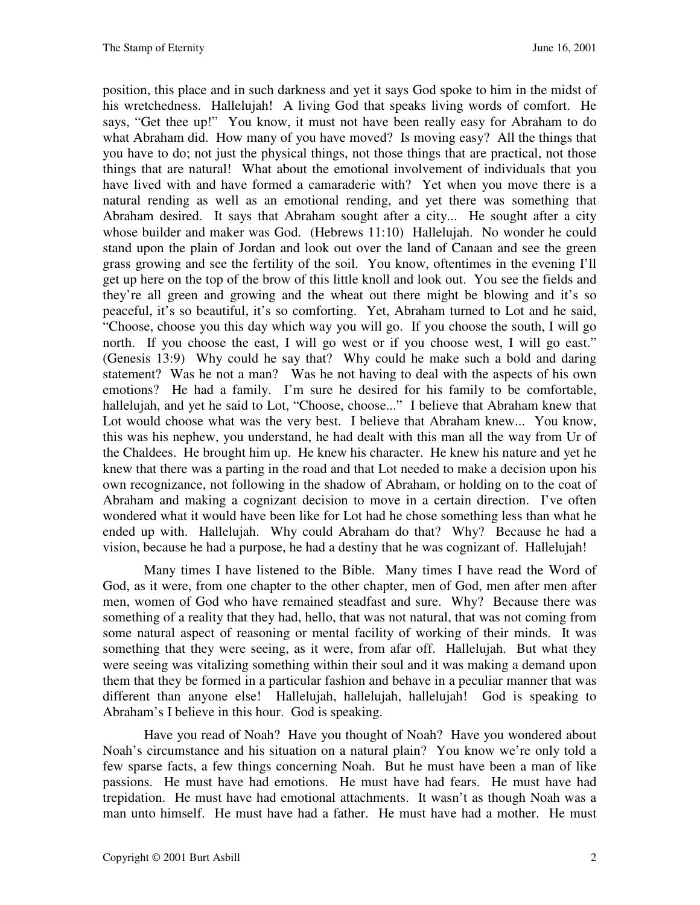position, this place and in such darkness and yet it says God spoke to him in the midst of his wretchedness. Hallelujah! A living God that speaks living words of comfort. He says, "Get thee up!" You know, it must not have been really easy for Abraham to do what Abraham did. How many of you have moved? Is moving easy? All the things that you have to do; not just the physical things, not those things that are practical, not those things that are natural! What about the emotional involvement of individuals that you have lived with and have formed a camaraderie with? Yet when you move there is a natural rending as well as an emotional rending, and yet there was something that Abraham desired. It says that Abraham sought after a city... He sought after a city whose builder and maker was God. (Hebrews 11:10) Hallelujah. No wonder he could stand upon the plain of Jordan and look out over the land of Canaan and see the green grass growing and see the fertility of the soil. You know, oftentimes in the evening I'll get up here on the top of the brow of this little knoll and look out. You see the fields and they're all green and growing and the wheat out there might be blowing and it's so peaceful, it's so beautiful, it's so comforting. Yet, Abraham turned to Lot and he said, "Choose, choose you this day which way you will go. If you choose the south, I will go north. If you choose the east, I will go west or if you choose west, I will go east." (Genesis 13:9) Why could he say that? Why could he make such a bold and daring statement? Was he not a man? Was he not having to deal with the aspects of his own emotions? He had a family. I'm sure he desired for his family to be comfortable, hallelujah, and yet he said to Lot, "Choose, choose..." I believe that Abraham knew that Lot would choose what was the very best. I believe that Abraham knew... You know, this was his nephew, you understand, he had dealt with this man all the way from Ur of the Chaldees. He brought him up. He knew his character. He knew his nature and yet he knew that there was a parting in the road and that Lot needed to make a decision upon his own recognizance, not following in the shadow of Abraham, or holding on to the coat of Abraham and making a cognizant decision to move in a certain direction. I've often wondered what it would have been like for Lot had he chose something less than what he ended up with. Hallelujah. Why could Abraham do that? Why? Because he had a vision, because he had a purpose, he had a destiny that he was cognizant of. Hallelujah!

 Many times I have listened to the Bible. Many times I have read the Word of God, as it were, from one chapter to the other chapter, men of God, men after men after men, women of God who have remained steadfast and sure. Why? Because there was something of a reality that they had, hello, that was not natural, that was not coming from some natural aspect of reasoning or mental facility of working of their minds. It was something that they were seeing, as it were, from afar off. Hallelujah. But what they were seeing was vitalizing something within their soul and it was making a demand upon them that they be formed in a particular fashion and behave in a peculiar manner that was different than anyone else! Hallelujah, hallelujah, hallelujah! God is speaking to Abraham's I believe in this hour. God is speaking.

 Have you read of Noah? Have you thought of Noah? Have you wondered about Noah's circumstance and his situation on a natural plain? You know we're only told a few sparse facts, a few things concerning Noah. But he must have been a man of like passions. He must have had emotions. He must have had fears. He must have had trepidation. He must have had emotional attachments. It wasn't as though Noah was a man unto himself. He must have had a father. He must have had a mother. He must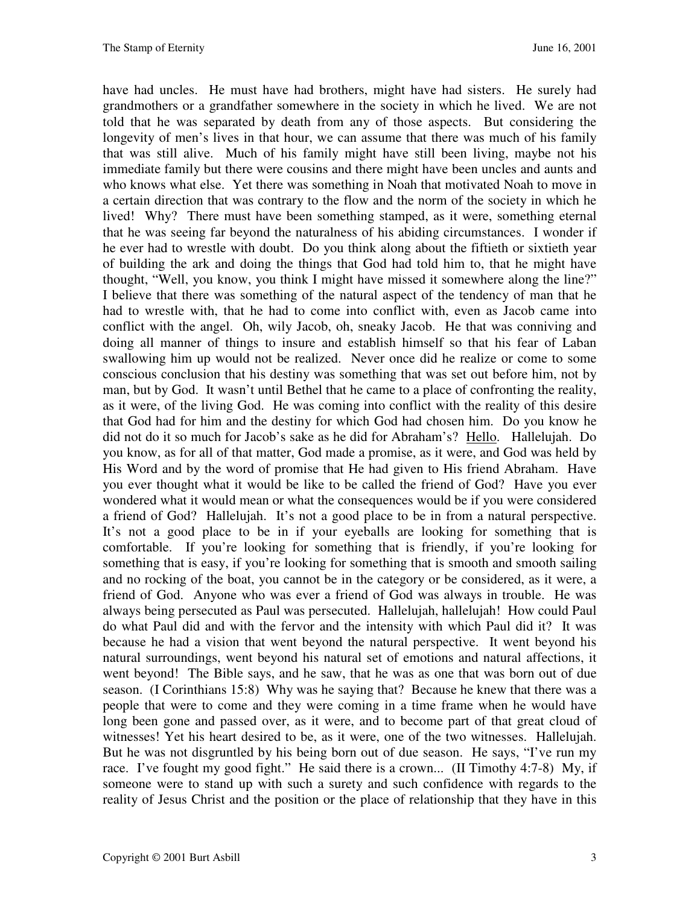have had uncles. He must have had brothers, might have had sisters. He surely had grandmothers or a grandfather somewhere in the society in which he lived. We are not told that he was separated by death from any of those aspects. But considering the longevity of men's lives in that hour, we can assume that there was much of his family that was still alive. Much of his family might have still been living, maybe not his immediate family but there were cousins and there might have been uncles and aunts and who knows what else. Yet there was something in Noah that motivated Noah to move in a certain direction that was contrary to the flow and the norm of the society in which he lived! Why? There must have been something stamped, as it were, something eternal that he was seeing far beyond the naturalness of his abiding circumstances. I wonder if he ever had to wrestle with doubt. Do you think along about the fiftieth or sixtieth year of building the ark and doing the things that God had told him to, that he might have thought, "Well, you know, you think I might have missed it somewhere along the line?" I believe that there was something of the natural aspect of the tendency of man that he had to wrestle with, that he had to come into conflict with, even as Jacob came into conflict with the angel. Oh, wily Jacob, oh, sneaky Jacob. He that was conniving and doing all manner of things to insure and establish himself so that his fear of Laban swallowing him up would not be realized. Never once did he realize or come to some conscious conclusion that his destiny was something that was set out before him, not by man, but by God. It wasn't until Bethel that he came to a place of confronting the reality, as it were, of the living God. He was coming into conflict with the reality of this desire that God had for him and the destiny for which God had chosen him. Do you know he did not do it so much for Jacob's sake as he did for Abraham's? Hello. Hallelujah. Do you know, as for all of that matter, God made a promise, as it were, and God was held by His Word and by the word of promise that He had given to His friend Abraham. Have you ever thought what it would be like to be called the friend of God? Have you ever wondered what it would mean or what the consequences would be if you were considered a friend of God? Hallelujah. It's not a good place to be in from a natural perspective. It's not a good place to be in if your eyeballs are looking for something that is comfortable. If you're looking for something that is friendly, if you're looking for something that is easy, if you're looking for something that is smooth and smooth sailing and no rocking of the boat, you cannot be in the category or be considered, as it were, a friend of God. Anyone who was ever a friend of God was always in trouble. He was always being persecuted as Paul was persecuted. Hallelujah, hallelujah! How could Paul do what Paul did and with the fervor and the intensity with which Paul did it? It was because he had a vision that went beyond the natural perspective. It went beyond his natural surroundings, went beyond his natural set of emotions and natural affections, it went beyond! The Bible says, and he saw, that he was as one that was born out of due season. (I Corinthians 15:8) Why was he saying that? Because he knew that there was a people that were to come and they were coming in a time frame when he would have long been gone and passed over, as it were, and to become part of that great cloud of witnesses! Yet his heart desired to be, as it were, one of the two witnesses. Hallelujah. But he was not disgruntled by his being born out of due season. He says, "I've run my race. I've fought my good fight." He said there is a crown... (II Timothy 4:7-8) My, if someone were to stand up with such a surety and such confidence with regards to the reality of Jesus Christ and the position or the place of relationship that they have in this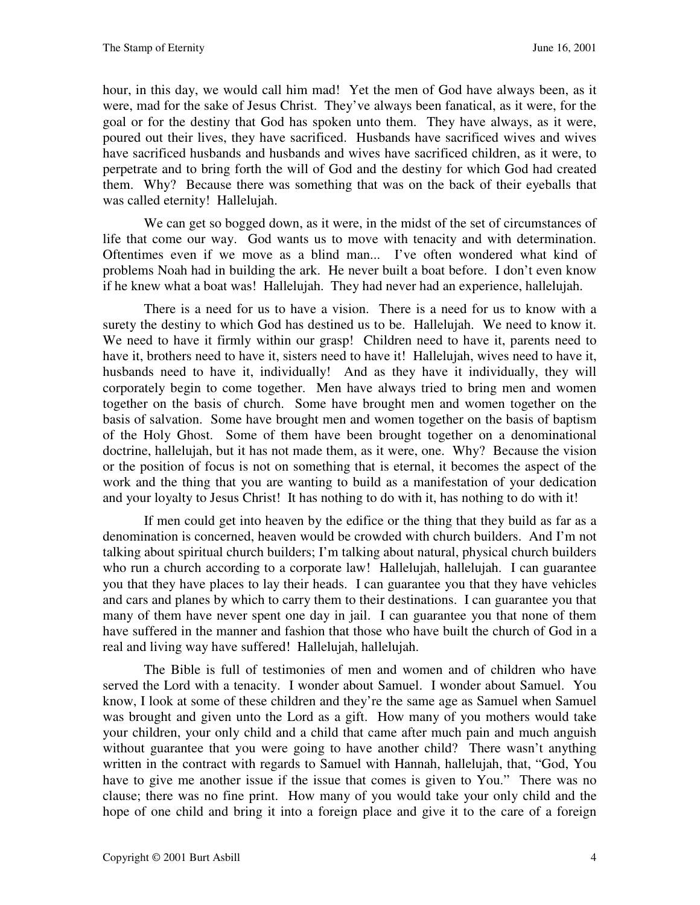hour, in this day, we would call him mad! Yet the men of God have always been, as it were, mad for the sake of Jesus Christ. They've always been fanatical, as it were, for the goal or for the destiny that God has spoken unto them. They have always, as it were, poured out their lives, they have sacrificed. Husbands have sacrificed wives and wives have sacrificed husbands and husbands and wives have sacrificed children, as it were, to perpetrate and to bring forth the will of God and the destiny for which God had created them. Why? Because there was something that was on the back of their eyeballs that was called eternity! Hallelujah.

 We can get so bogged down, as it were, in the midst of the set of circumstances of life that come our way. God wants us to move with tenacity and with determination. Oftentimes even if we move as a blind man... I've often wondered what kind of problems Noah had in building the ark. He never built a boat before. I don't even know if he knew what a boat was! Hallelujah. They had never had an experience, hallelujah.

 There is a need for us to have a vision. There is a need for us to know with a surety the destiny to which God has destined us to be. Hallelujah. We need to know it. We need to have it firmly within our grasp! Children need to have it, parents need to have it, brothers need to have it, sisters need to have it! Hallelujah, wives need to have it, husbands need to have it, individually! And as they have it individually, they will corporately begin to come together. Men have always tried to bring men and women together on the basis of church. Some have brought men and women together on the basis of salvation. Some have brought men and women together on the basis of baptism of the Holy Ghost. Some of them have been brought together on a denominational doctrine, hallelujah, but it has not made them, as it were, one. Why? Because the vision or the position of focus is not on something that is eternal, it becomes the aspect of the work and the thing that you are wanting to build as a manifestation of your dedication and your loyalty to Jesus Christ! It has nothing to do with it, has nothing to do with it!

 If men could get into heaven by the edifice or the thing that they build as far as a denomination is concerned, heaven would be crowded with church builders. And I'm not talking about spiritual church builders; I'm talking about natural, physical church builders who run a church according to a corporate law! Hallelujah, hallelujah. I can guarantee you that they have places to lay their heads. I can guarantee you that they have vehicles and cars and planes by which to carry them to their destinations. I can guarantee you that many of them have never spent one day in jail. I can guarantee you that none of them have suffered in the manner and fashion that those who have built the church of God in a real and living way have suffered! Hallelujah, hallelujah.

 The Bible is full of testimonies of men and women and of children who have served the Lord with a tenacity. I wonder about Samuel. I wonder about Samuel. You know, I look at some of these children and they're the same age as Samuel when Samuel was brought and given unto the Lord as a gift. How many of you mothers would take your children, your only child and a child that came after much pain and much anguish without guarantee that you were going to have another child? There wasn't anything written in the contract with regards to Samuel with Hannah, hallelujah, that, "God, You have to give me another issue if the issue that comes is given to You." There was no clause; there was no fine print. How many of you would take your only child and the hope of one child and bring it into a foreign place and give it to the care of a foreign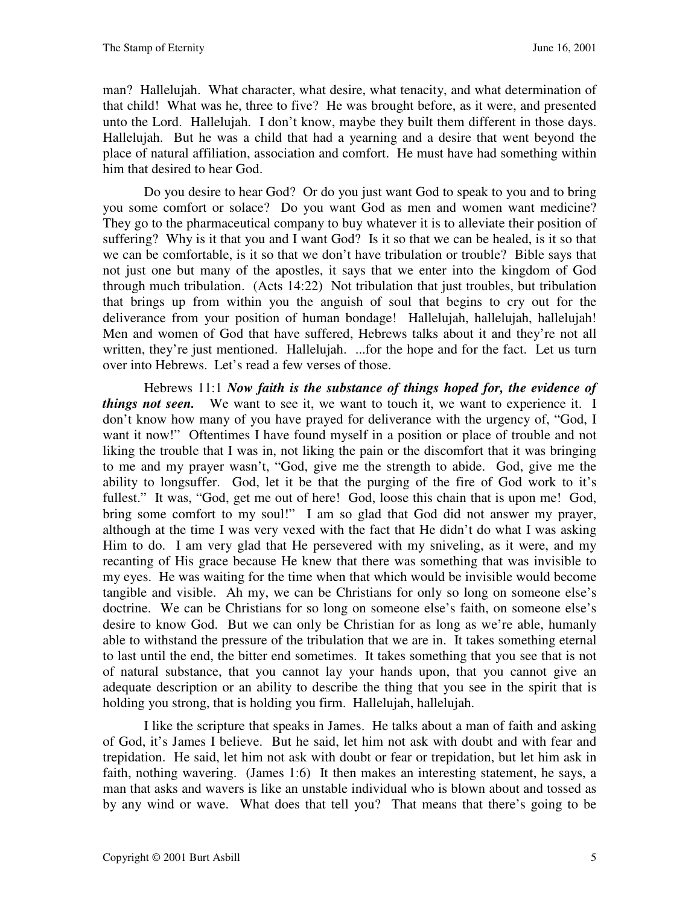man? Hallelujah. What character, what desire, what tenacity, and what determination of that child! What was he, three to five? He was brought before, as it were, and presented unto the Lord. Hallelujah. I don't know, maybe they built them different in those days. Hallelujah. But he was a child that had a yearning and a desire that went beyond the place of natural affiliation, association and comfort. He must have had something within him that desired to hear God.

 Do you desire to hear God? Or do you just want God to speak to you and to bring you some comfort or solace? Do you want God as men and women want medicine? They go to the pharmaceutical company to buy whatever it is to alleviate their position of suffering? Why is it that you and I want God? Is it so that we can be healed, is it so that we can be comfortable, is it so that we don't have tribulation or trouble? Bible says that not just one but many of the apostles, it says that we enter into the kingdom of God through much tribulation. (Acts 14:22) Not tribulation that just troubles, but tribulation that brings up from within you the anguish of soul that begins to cry out for the deliverance from your position of human bondage! Hallelujah, hallelujah, hallelujah! Men and women of God that have suffered, Hebrews talks about it and they're not all written, they're just mentioned. Hallelujah. ...for the hope and for the fact. Let us turn over into Hebrews. Let's read a few verses of those.

 Hebrews 11:1 *Now faith is the substance of things hoped for, the evidence of things not seen.* We want to see it, we want to touch it, we want to experience it. I don't know how many of you have prayed for deliverance with the urgency of, "God, I want it now!" Oftentimes I have found myself in a position or place of trouble and not liking the trouble that I was in, not liking the pain or the discomfort that it was bringing to me and my prayer wasn't, "God, give me the strength to abide. God, give me the ability to longsuffer. God, let it be that the purging of the fire of God work to it's fullest." It was, "God, get me out of here! God, loose this chain that is upon me! God, bring some comfort to my soul!" I am so glad that God did not answer my prayer, although at the time I was very vexed with the fact that He didn't do what I was asking Him to do. I am very glad that He persevered with my sniveling, as it were, and my recanting of His grace because He knew that there was something that was invisible to my eyes. He was waiting for the time when that which would be invisible would become tangible and visible. Ah my, we can be Christians for only so long on someone else's doctrine. We can be Christians for so long on someone else's faith, on someone else's desire to know God. But we can only be Christian for as long as we're able, humanly able to withstand the pressure of the tribulation that we are in. It takes something eternal to last until the end, the bitter end sometimes. It takes something that you see that is not of natural substance, that you cannot lay your hands upon, that you cannot give an adequate description or an ability to describe the thing that you see in the spirit that is holding you strong, that is holding you firm. Hallelujah, hallelujah.

 I like the scripture that speaks in James. He talks about a man of faith and asking of God, it's James I believe. But he said, let him not ask with doubt and with fear and trepidation. He said, let him not ask with doubt or fear or trepidation, but let him ask in faith, nothing wavering. (James 1:6) It then makes an interesting statement, he says, a man that asks and wavers is like an unstable individual who is blown about and tossed as by any wind or wave. What does that tell you? That means that there's going to be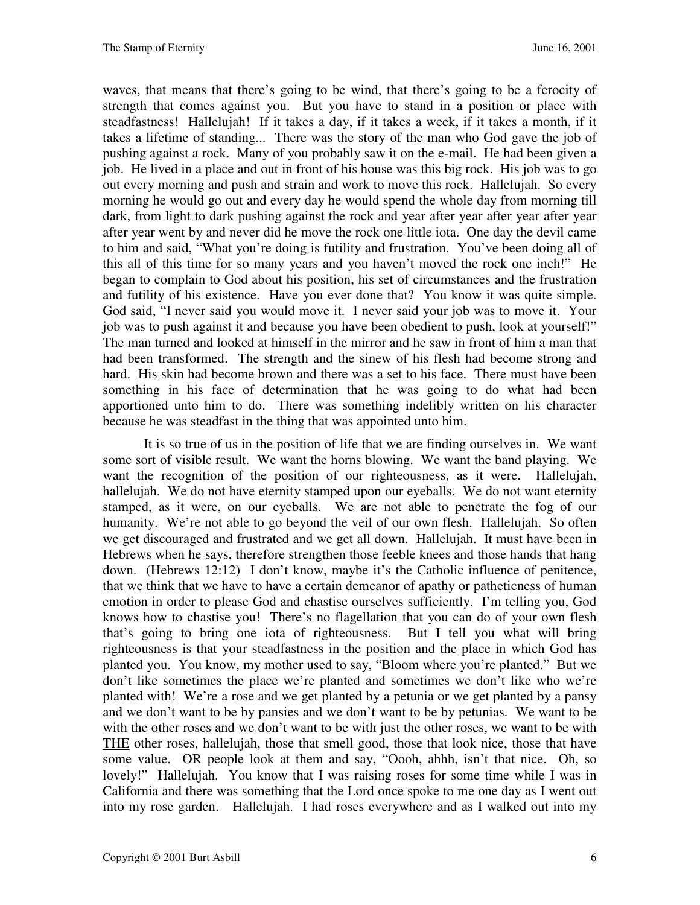waves, that means that there's going to be wind, that there's going to be a ferocity of strength that comes against you. But you have to stand in a position or place with steadfastness! Hallelujah! If it takes a day, if it takes a week, if it takes a month, if it takes a lifetime of standing... There was the story of the man who God gave the job of pushing against a rock. Many of you probably saw it on the e-mail. He had been given a job. He lived in a place and out in front of his house was this big rock. His job was to go out every morning and push and strain and work to move this rock. Hallelujah. So every morning he would go out and every day he would spend the whole day from morning till dark, from light to dark pushing against the rock and year after year after year after year after year went by and never did he move the rock one little iota. One day the devil came to him and said, "What you're doing is futility and frustration. You've been doing all of this all of this time for so many years and you haven't moved the rock one inch!" He began to complain to God about his position, his set of circumstances and the frustration and futility of his existence. Have you ever done that? You know it was quite simple. God said, "I never said you would move it. I never said your job was to move it. Your job was to push against it and because you have been obedient to push, look at yourself!" The man turned and looked at himself in the mirror and he saw in front of him a man that had been transformed. The strength and the sinew of his flesh had become strong and hard. His skin had become brown and there was a set to his face. There must have been something in his face of determination that he was going to do what had been apportioned unto him to do. There was something indelibly written on his character because he was steadfast in the thing that was appointed unto him.

 It is so true of us in the position of life that we are finding ourselves in. We want some sort of visible result. We want the horns blowing. We want the band playing. We want the recognition of the position of our righteousness, as it were. Hallelujah, hallelujah. We do not have eternity stamped upon our eyeballs. We do not want eternity stamped, as it were, on our eyeballs. We are not able to penetrate the fog of our humanity. We're not able to go beyond the veil of our own flesh. Hallelujah. So often we get discouraged and frustrated and we get all down. Hallelujah. It must have been in Hebrews when he says, therefore strengthen those feeble knees and those hands that hang down. (Hebrews 12:12) I don't know, maybe it's the Catholic influence of penitence, that we think that we have to have a certain demeanor of apathy or patheticness of human emotion in order to please God and chastise ourselves sufficiently. I'm telling you, God knows how to chastise you! There's no flagellation that you can do of your own flesh that's going to bring one iota of righteousness. But I tell you what will bring righteousness is that your steadfastness in the position and the place in which God has planted you. You know, my mother used to say, "Bloom where you're planted." But we don't like sometimes the place we're planted and sometimes we don't like who we're planted with! We're a rose and we get planted by a petunia or we get planted by a pansy and we don't want to be by pansies and we don't want to be by petunias. We want to be with the other roses and we don't want to be with just the other roses, we want to be with THE other roses, hallelujah, those that smell good, those that look nice, those that have some value. OR people look at them and say, "Oooh, ahhh, isn't that nice. Oh, so lovely!" Hallelujah. You know that I was raising roses for some time while I was in California and there was something that the Lord once spoke to me one day as I went out into my rose garden. Hallelujah. I had roses everywhere and as I walked out into my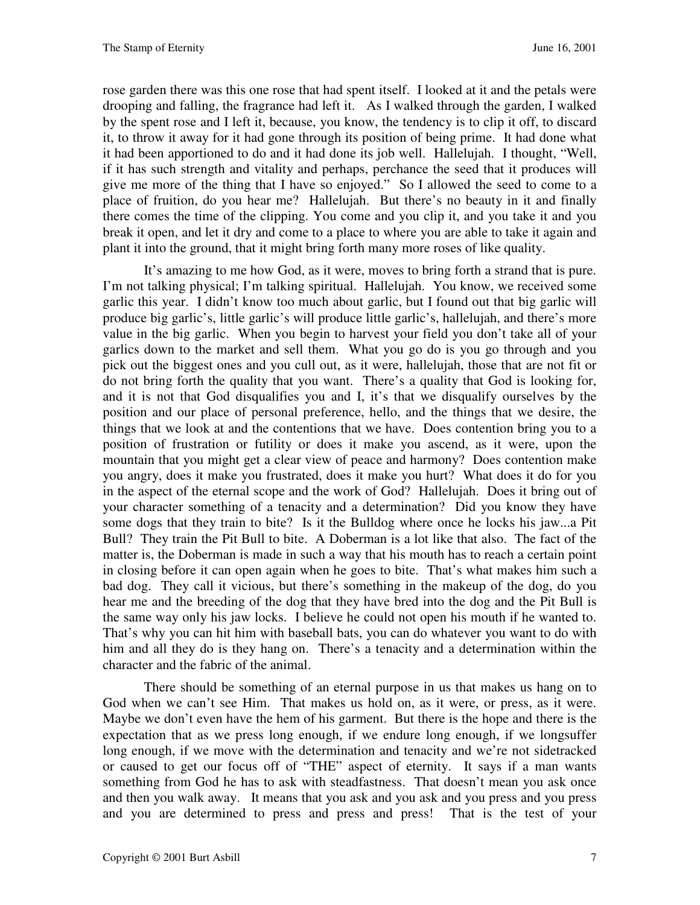rose garden there was this one rose that had spent itself. I looked at it and the petals were drooping and falling, the fragrance had left it. As I walked through the garden, I walked by the spent rose and I left it, because, you know, the tendency is to clip it off, to discard it, to throw it away for it had gone through its position of being prime. It had done what it had been apportioned to do and it had done its job well. Hallelujah. I thought, "Well, if it has such strength and vitality and perhaps, perchance the seed that it produces will give me more of the thing that I have so enjoyed." So I allowed the seed to come to a place of fruition, do you hear me? Hallelujah. But there's no beauty in it and finally there comes the time of the clipping. You come and you clip it, and you take it and you break it open, and let it dry and come to a place to where you are able to take it again and plant it into the ground, that it might bring forth many more roses of like quality.

 It's amazing to me how God, as it were, moves to bring forth a strand that is pure. I'm not talking physical; I'm talking spiritual. Hallelujah. You know, we received some garlic this year. I didn't know too much about garlic, but I found out that big garlic will produce big garlic's, little garlic's will produce little garlic's, hallelujah, and there's more value in the big garlic. When you begin to harvest your field you don't take all of your garlics down to the market and sell them. What you go do is you go through and you pick out the biggest ones and you cull out, as it were, hallelujah, those that are not fit or do not bring forth the quality that you want. There's a quality that God is looking for, and it is not that God disqualifies you and I, it's that we disqualify ourselves by the position and our place of personal preference, hello, and the things that we desire, the things that we look at and the contentions that we have. Does contention bring you to a position of frustration or futility or does it make you ascend, as it were, upon the mountain that you might get a clear view of peace and harmony? Does contention make you angry, does it make you frustrated, does it make you hurt? What does it do for you in the aspect of the eternal scope and the work of God? Hallelujah. Does it bring out of your character something of a tenacity and a determination? Did you know they have some dogs that they train to bite? Is it the Bulldog where once he locks his jaw...a Pit Bull? They train the Pit Bull to bite. A Doberman is a lot like that also. The fact of the matter is, the Doberman is made in such a way that his mouth has to reach a certain point in closing before it can open again when he goes to bite. That's what makes him such a bad dog. They call it vicious, but there's something in the makeup of the dog, do you hear me and the breeding of the dog that they have bred into the dog and the Pit Bull is the same way only his jaw locks. I believe he could not open his mouth if he wanted to. That's why you can hit him with baseball bats, you can do whatever you want to do with him and all they do is they hang on. There's a tenacity and a determination within the character and the fabric of the animal.

There should be something of an eternal purpose in us that makes us hang on to God when we can't see Him. That makes us hold on, as it were, or press, as it were. Maybe we don't even have the hem of his garment. But there is the hope and there is the expectation that as we press long enough, if we endure long enough, if we longsuffer long enough, if we move with the determination and tenacity and we're not sidetracked or caused to get our focus off of "THE" aspect of eternity. It says if a man wants something from God he has to ask with steadfastness. That doesn't mean you ask once and then you walk away. It means that you ask and you ask and you press and you press and you are determined to press and press and press! That is the test of your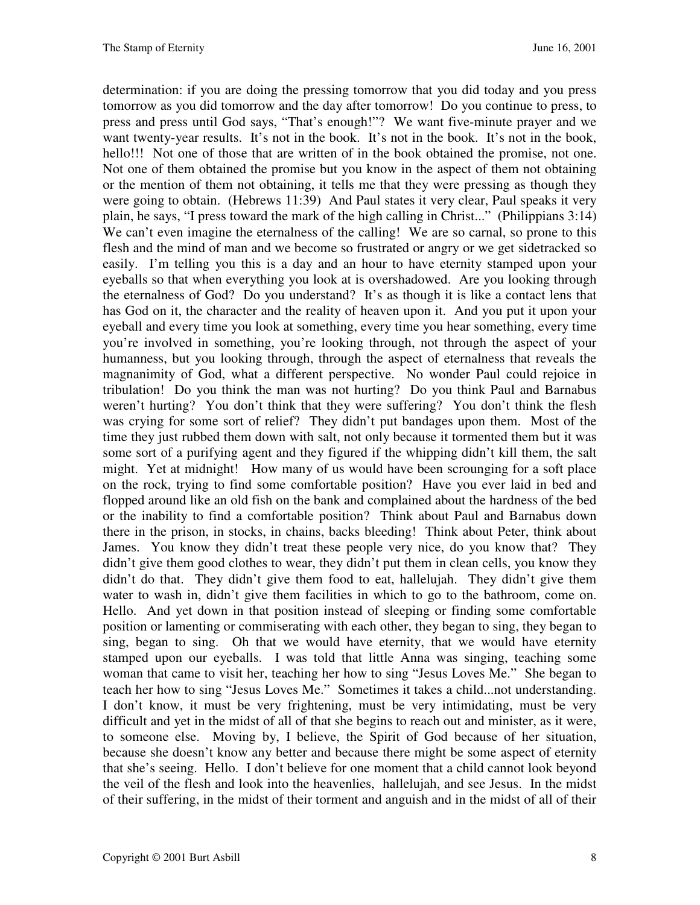determination: if you are doing the pressing tomorrow that you did today and you press tomorrow as you did tomorrow and the day after tomorrow! Do you continue to press, to press and press until God says, "That's enough!"? We want five-minute prayer and we want twenty-year results. It's not in the book. It's not in the book. It's not in the book, hello!!! Not one of those that are written of in the book obtained the promise, not one. Not one of them obtained the promise but you know in the aspect of them not obtaining or the mention of them not obtaining, it tells me that they were pressing as though they were going to obtain. (Hebrews 11:39) And Paul states it very clear, Paul speaks it very plain, he says, "I press toward the mark of the high calling in Christ..." (Philippians 3:14) We can't even imagine the eternalness of the calling! We are so carnal, so prone to this flesh and the mind of man and we become so frustrated or angry or we get sidetracked so easily. I'm telling you this is a day and an hour to have eternity stamped upon your eyeballs so that when everything you look at is overshadowed. Are you looking through the eternalness of God? Do you understand? It's as though it is like a contact lens that has God on it, the character and the reality of heaven upon it. And you put it upon your eyeball and every time you look at something, every time you hear something, every time you're involved in something, you're looking through, not through the aspect of your humanness, but you looking through, through the aspect of eternalness that reveals the magnanimity of God, what a different perspective. No wonder Paul could rejoice in tribulation! Do you think the man was not hurting? Do you think Paul and Barnabus weren't hurting? You don't think that they were suffering? You don't think the flesh was crying for some sort of relief? They didn't put bandages upon them. Most of the time they just rubbed them down with salt, not only because it tormented them but it was some sort of a purifying agent and they figured if the whipping didn't kill them, the salt might. Yet at midnight! How many of us would have been scrounging for a soft place on the rock, trying to find some comfortable position? Have you ever laid in bed and flopped around like an old fish on the bank and complained about the hardness of the bed or the inability to find a comfortable position? Think about Paul and Barnabus down there in the prison, in stocks, in chains, backs bleeding! Think about Peter, think about James. You know they didn't treat these people very nice, do you know that? They didn't give them good clothes to wear, they didn't put them in clean cells, you know they didn't do that. They didn't give them food to eat, hallelujah. They didn't give them water to wash in, didn't give them facilities in which to go to the bathroom, come on. Hello. And yet down in that position instead of sleeping or finding some comfortable position or lamenting or commiserating with each other, they began to sing, they began to sing, began to sing. Oh that we would have eternity, that we would have eternity stamped upon our eyeballs. I was told that little Anna was singing, teaching some woman that came to visit her, teaching her how to sing "Jesus Loves Me." She began to teach her how to sing "Jesus Loves Me." Sometimes it takes a child...not understanding. I don't know, it must be very frightening, must be very intimidating, must be very difficult and yet in the midst of all of that she begins to reach out and minister, as it were, to someone else. Moving by, I believe, the Spirit of God because of her situation, because she doesn't know any better and because there might be some aspect of eternity that she's seeing. Hello. I don't believe for one moment that a child cannot look beyond the veil of the flesh and look into the heavenlies, hallelujah, and see Jesus. In the midst of their suffering, in the midst of their torment and anguish and in the midst of all of their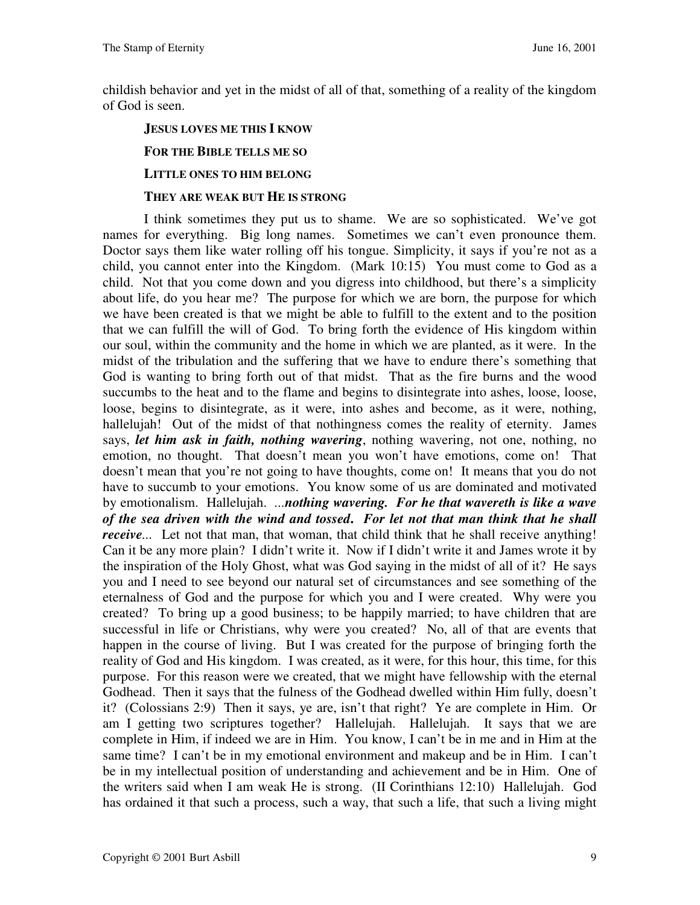childish behavior and yet in the midst of all of that, something of a reality of the kingdom of God is seen.

# **JESUS LOVES ME THIS I KNOW FOR THE BIBLE TELLS ME SO LITTLE ONES TO HIM BELONG**

#### **THEY ARE WEAK BUT HE IS STRONG**

I think sometimes they put us to shame. We are so sophisticated. We've got names for everything. Big long names. Sometimes we can't even pronounce them. Doctor says them like water rolling off his tongue. Simplicity, it says if you're not as a child, you cannot enter into the Kingdom. (Mark 10:15) You must come to God as a child. Not that you come down and you digress into childhood, but there's a simplicity about life, do you hear me? The purpose for which we are born, the purpose for which we have been created is that we might be able to fulfill to the extent and to the position that we can fulfill the will of God. To bring forth the evidence of His kingdom within our soul, within the community and the home in which we are planted, as it were. In the midst of the tribulation and the suffering that we have to endure there's something that God is wanting to bring forth out of that midst. That as the fire burns and the wood succumbs to the heat and to the flame and begins to disintegrate into ashes, loose, loose, loose, begins to disintegrate, as it were, into ashes and become, as it were, nothing, hallelujah! Out of the midst of that nothingness comes the reality of eternity. James says, *let him ask in faith, nothing wavering*, nothing wavering, not one, nothing, no emotion, no thought. That doesn't mean you won't have emotions, come on! That doesn't mean that you're not going to have thoughts, come on! It means that you do not have to succumb to your emotions. You know some of us are dominated and motivated by emotionalism. Hallelujah. *...nothing wavering. For he that wavereth is like a wave of the sea driven with the wind and tossed***.** *For let not that man think that he shall receive...* Let not that man, that woman, that child think that he shall receive anything! Can it be any more plain? I didn't write it. Now if I didn't write it and James wrote it by the inspiration of the Holy Ghost, what was God saying in the midst of all of it? He says you and I need to see beyond our natural set of circumstances and see something of the eternalness of God and the purpose for which you and I were created. Why were you created? To bring up a good business; to be happily married; to have children that are successful in life or Christians, why were you created? No, all of that are events that happen in the course of living. But I was created for the purpose of bringing forth the reality of God and His kingdom. I was created, as it were, for this hour, this time, for this purpose. For this reason were we created, that we might have fellowship with the eternal Godhead. Then it says that the fulness of the Godhead dwelled within Him fully, doesn't it? (Colossians 2:9) Then it says, ye are, isn't that right? Ye are complete in Him. Or am I getting two scriptures together? Hallelujah. Hallelujah. It says that we are complete in Him, if indeed we are in Him. You know, I can't be in me and in Him at the same time? I can't be in my emotional environment and makeup and be in Him. I can't be in my intellectual position of understanding and achievement and be in Him. One of the writers said when I am weak He is strong. (II Corinthians 12:10) Hallelujah. God has ordained it that such a process, such a way, that such a life, that such a living might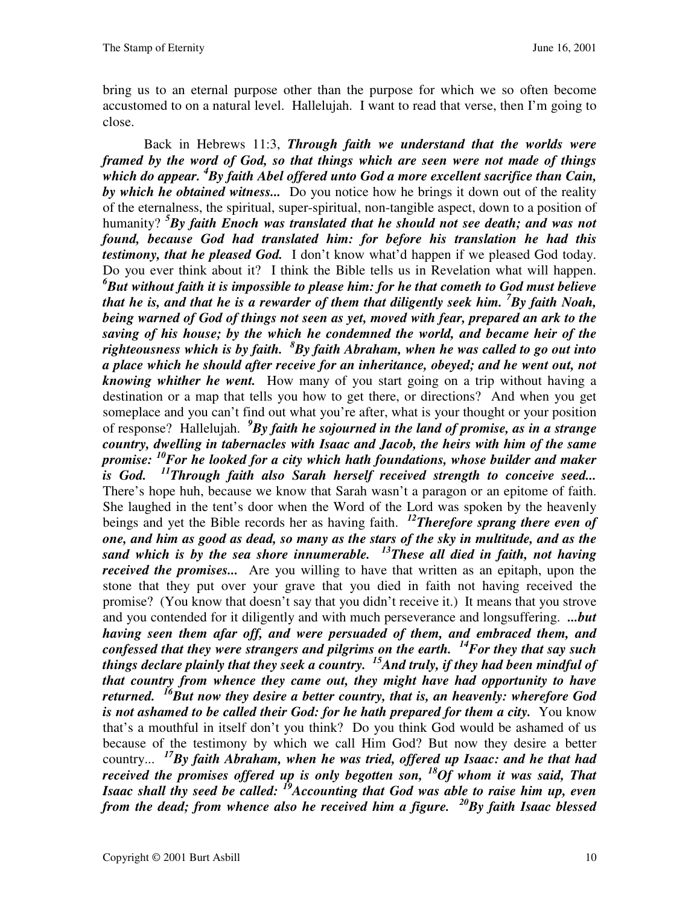bring us to an eternal purpose other than the purpose for which we so often become accustomed to on a natural level. Hallelujah. I want to read that verse, then I'm going to close.

Back in Hebrews 11:3, *Through faith we understand that the worlds were framed by the word of God, so that things which are seen were not made of things which do appear. <sup>4</sup>By faith Abel offered unto God a more excellent sacrifice than Cain, by which he obtained witness...* Do you notice how he brings it down out of the reality of the eternalness, the spiritual, super-spiritual, non-tangible aspect, down to a position of humanity? *<sup>5</sup>By faith Enoch was translated that he should not see death; and was not found, because God had translated him: for before his translation he had this testimony, that he pleased God.* I don't know what'd happen if we pleased God today. Do you ever think about it? I think the Bible tells us in Revelation what will happen. *<sup>6</sup>But without faith it is impossible to please him: for he that cometh to God must believe that he is, and that he is a rewarder of them that diligently seek him. <sup>7</sup>By faith Noah, being warned of God of things not seen as yet, moved with fear, prepared an ark to the saving of his house; by the which he condemned the world, and became heir of the righteousness which is by faith. <sup>8</sup>By faith Abraham, when he was called to go out into a place which he should after receive for an inheritance, obeyed; and he went out, not knowing whither he went.* How many of you start going on a trip without having a destination or a map that tells you how to get there, or directions? And when you get someplace and you can't find out what you're after, what is your thought or your position of response? Hallelujah. *<sup>9</sup>By faith he sojourned in the land of promise, as in a strange country, dwelling in tabernacles with Isaac and Jacob, the heirs with him of the same promise: <sup>10</sup>For he looked for a city which hath foundations, whose builder and maker is God. <sup>11</sup>Through faith also Sarah herself received strength to conceive seed...*  There's hope huh, because we know that Sarah wasn't a paragon or an epitome of faith. She laughed in the tent's door when the Word of the Lord was spoken by the heavenly beings and yet the Bible records her as having faith. *<sup>12</sup>Therefore sprang there even of one, and him as good as dead, so many as the stars of the sky in multitude, and as the sand which is by the sea shore innumerable. <sup>13</sup>These all died in faith, not having received the promises...*Are you willing to have that written as an epitaph, upon the stone that they put over your grave that you died in faith not having received the promise? (You know that doesn't say that you didn't receive it.) It means that you strove and you contended for it diligently and with much perseverance and longsuffering. *...but having seen them afar off, and were persuaded of them, and embraced them, and confessed that they were strangers and pilgrims on the earth. <sup>14</sup>For they that say such things declare plainly that they seek a country. <sup>15</sup>And truly, if they had been mindful of that country from whence they came out, they might have had opportunity to have returned. <sup>16</sup>But now they desire a better country, that is, an heavenly: wherefore God is not ashamed to be called their God: for he hath prepared for them a city.* You know that's a mouthful in itself don't you think? Do you think God would be ashamed of us because of the testimony by which we call Him God? But now they desire a better country... *<sup>17</sup>By faith Abraham, when he was tried, offered up Isaac: and he that had received the promises offered up is only begotten son, <sup>18</sup>Of whom it was said, That Isaac shall thy seed be called: <sup>19</sup>Accounting that God was able to raise him up, even from the dead; from whence also he received him a figure. <sup>20</sup>By faith Isaac blessed*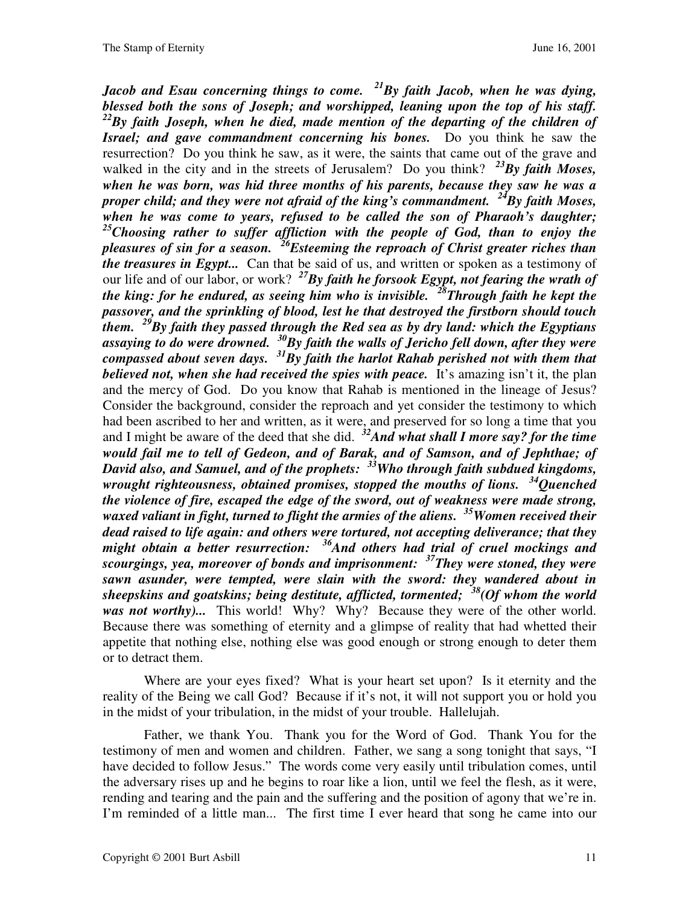*Jacob and Esau concerning things to come. <sup>21</sup>By faith Jacob, when he was dying, blessed both the sons of Joseph; and worshipped, leaning upon the top of his staff. <sup>22</sup>By faith Joseph, when he died, made mention of the departing of the children of Israel; and gave commandment concerning his bones.* Do you think he saw the resurrection? Do you think he saw, as it were, the saints that came out of the grave and walked in the city and in the streets of Jerusalem? Do you think? *<sup>23</sup>By faith Moses, when he was born, was hid three months of his parents, because they saw he was a proper child; and they were not afraid of the king's commandment. <sup>24</sup>By faith Moses, when he was come to years, refused to be called the son of Pharaoh's daughter; <sup>25</sup>Choosing rather to suffer affliction with the people of God, than to enjoy the pleasures of sin for a season. <sup>26</sup>Esteeming the reproach of Christ greater riches than the treasures in Egypt...* Can that be said of us, and written or spoken as a testimony of our life and of our labor, or work? *<sup>27</sup>By faith he forsook Egypt, not fearing the wrath of the king: for he endured, as seeing him who is invisible. <sup>28</sup>Through faith he kept the passover, and the sprinkling of blood, lest he that destroyed the firstborn should touch them. <sup>29</sup>By faith they passed through the Red sea as by dry land: which the Egyptians assaying to do were drowned. <sup>30</sup>By faith the walls of Jericho fell down, after they were compassed about seven days. <sup>31</sup>By faith the harlot Rahab perished not with them that believed not, when she had received the spies with peace.* It's amazing isn't it, the plan and the mercy of God. Do you know that Rahab is mentioned in the lineage of Jesus? Consider the background, consider the reproach and yet consider the testimony to which had been ascribed to her and written, as it were, and preserved for so long a time that you and I might be aware of the deed that she did. *<sup>32</sup>And what shall I more say? for the time would fail me to tell of Gedeon, and of Barak, and of Samson, and of Jephthae; of David also, and Samuel, and of the prophets: <sup>33</sup>Who through faith subdued kingdoms, wrought righteousness, obtained promises, stopped the mouths of lions. <sup>34</sup>Quenched the violence of fire, escaped the edge of the sword, out of weakness were made strong, waxed valiant in fight, turned to flight the armies of the aliens. <sup>35</sup>Women received their dead raised to life again: and others were tortured, not accepting deliverance; that they might obtain a better resurrection: <sup>36</sup>And others had trial of cruel mockings and scourgings, yea, moreover of bonds and imprisonment: <sup>37</sup>They were stoned, they were sawn asunder, were tempted, were slain with the sword: they wandered about in sheepskins and goatskins; being destitute, afflicted, tormented; <sup>38</sup>(Of whom the world*  was not worthy)... This world! Why? Why? Because they were of the other world. Because there was something of eternity and a glimpse of reality that had whetted their appetite that nothing else, nothing else was good enough or strong enough to deter them or to detract them.

Where are your eyes fixed? What is your heart set upon? Is it eternity and the reality of the Being we call God? Because if it's not, it will not support you or hold you in the midst of your tribulation, in the midst of your trouble. Hallelujah.

Father, we thank You. Thank you for the Word of God. Thank You for the testimony of men and women and children. Father, we sang a song tonight that says, "I have decided to follow Jesus." The words come very easily until tribulation comes, until the adversary rises up and he begins to roar like a lion, until we feel the flesh, as it were, rending and tearing and the pain and the suffering and the position of agony that we're in. I'm reminded of a little man... The first time I ever heard that song he came into our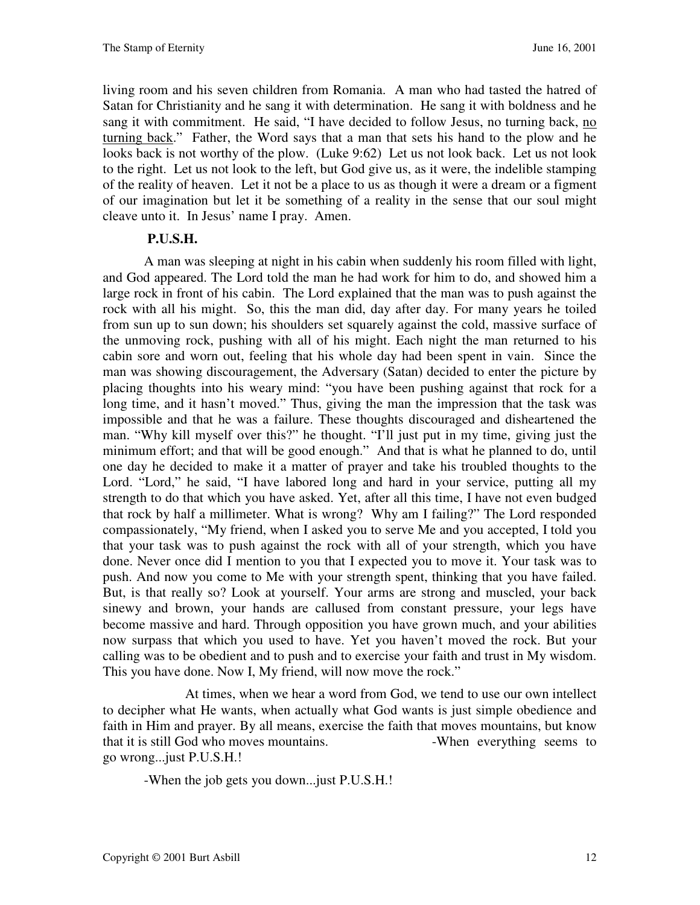living room and his seven children from Romania. A man who had tasted the hatred of Satan for Christianity and he sang it with determination. He sang it with boldness and he sang it with commitment. He said, "I have decided to follow Jesus, no turning back, no turning back." Father, the Word says that a man that sets his hand to the plow and he looks back is not worthy of the plow. (Luke 9:62) Let us not look back. Let us not look to the right. Let us not look to the left, but God give us, as it were, the indelible stamping of the reality of heaven. Let it not be a place to us as though it were a dream or a figment of our imagination but let it be something of a reality in the sense that our soul might cleave unto it. In Jesus' name I pray. Amen.

### **P.U.S.H.**

A man was sleeping at night in his cabin when suddenly his room filled with light, and God appeared. The Lord told the man he had work for him to do, and showed him a large rock in front of his cabin. The Lord explained that the man was to push against the rock with all his might. So, this the man did, day after day. For many years he toiled from sun up to sun down; his shoulders set squarely against the cold, massive surface of the unmoving rock, pushing with all of his might. Each night the man returned to his cabin sore and worn out, feeling that his whole day had been spent in vain. Since the man was showing discouragement, the Adversary (Satan) decided to enter the picture by placing thoughts into his weary mind: "you have been pushing against that rock for a long time, and it hasn't moved." Thus, giving the man the impression that the task was impossible and that he was a failure. These thoughts discouraged and disheartened the man. "Why kill myself over this?" he thought. "I'll just put in my time, giving just the minimum effort; and that will be good enough." And that is what he planned to do, until one day he decided to make it a matter of prayer and take his troubled thoughts to the Lord. "Lord," he said, "I have labored long and hard in your service, putting all my strength to do that which you have asked. Yet, after all this time, I have not even budged that rock by half a millimeter. What is wrong? Why am I failing?" The Lord responded compassionately, "My friend, when I asked you to serve Me and you accepted, I told you that your task was to push against the rock with all of your strength, which you have done. Never once did I mention to you that I expected you to move it. Your task was to push. And now you come to Me with your strength spent, thinking that you have failed. But, is that really so? Look at yourself. Your arms are strong and muscled, your back sinewy and brown, your hands are callused from constant pressure, your legs have become massive and hard. Through opposition you have grown much, and your abilities now surpass that which you used to have. Yet you haven't moved the rock. But your calling was to be obedient and to push and to exercise your faith and trust in My wisdom. This you have done. Now I, My friend, will now move the rock."

 At times, when we hear a word from God, we tend to use our own intellect to decipher what He wants, when actually what God wants is just simple obedience and faith in Him and prayer. By all means, exercise the faith that moves mountains, but know that it is still God who moves mountains. The seems to seem to seem to seem to seem to seem to seem to seem to go wrong...just P.U.S.H.!

-When the job gets you down...just P.U.S.H.!